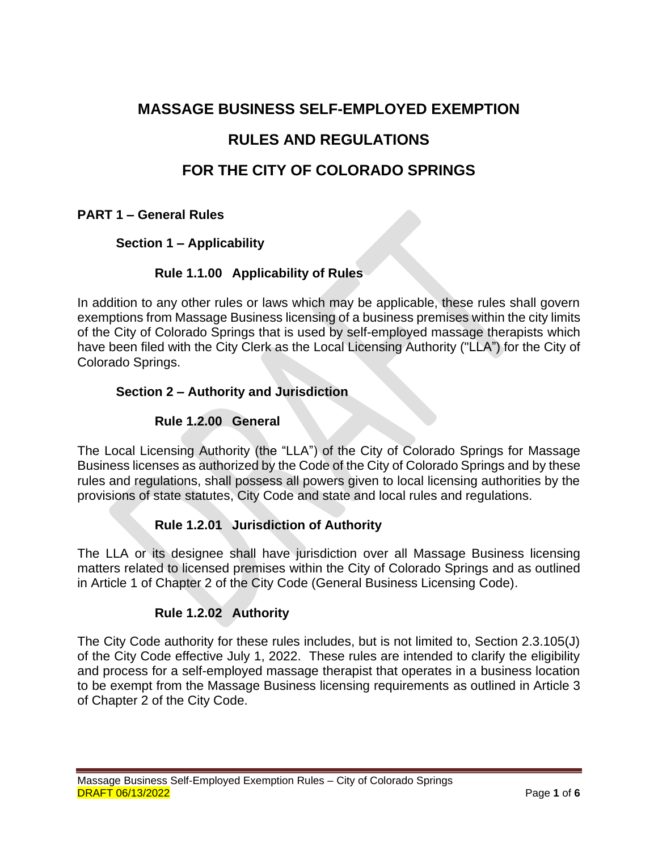## **MASSAGE BUSINESS SELF-EMPLOYED EXEMPTION**

# **RULES AND REGULATIONS**

# **FOR THE CITY OF COLORADO SPRINGS**

### **PART 1 – General Rules**

### **Section 1 – Applicability**

### **Rule 1.1.00 Applicability of Rules**

In addition to any other rules or laws which may be applicable, these rules shall govern exemptions from Massage Business licensing of a business premises within the city limits of the City of Colorado Springs that is used by self-employed massage therapists which have been filed with the City Clerk as the Local Licensing Authority ("LLA") for the City of Colorado Springs.

#### **Section 2 – Authority and Jurisdiction**

### **Rule 1.2.00 General**

The Local Licensing Authority (the "LLA") of the City of Colorado Springs for Massage Business licenses as authorized by the Code of the City of Colorado Springs and by these rules and regulations, shall possess all powers given to local licensing authorities by the provisions of state statutes, City Code and state and local rules and regulations.

### **Rule 1.2.01 Jurisdiction of Authority**

The LLA or its designee shall have jurisdiction over all Massage Business licensing matters related to licensed premises within the City of Colorado Springs and as outlined in Article 1 of Chapter 2 of the City Code (General Business Licensing Code).

### **Rule 1.2.02 Authority**

The City Code authority for these rules includes, but is not limited to, Section 2.3.105(J) of the City Code effective July 1, 2022. These rules are intended to clarify the eligibility and process for a self-employed massage therapist that operates in a business location to be exempt from the Massage Business licensing requirements as outlined in Article 3 of Chapter 2 of the City Code.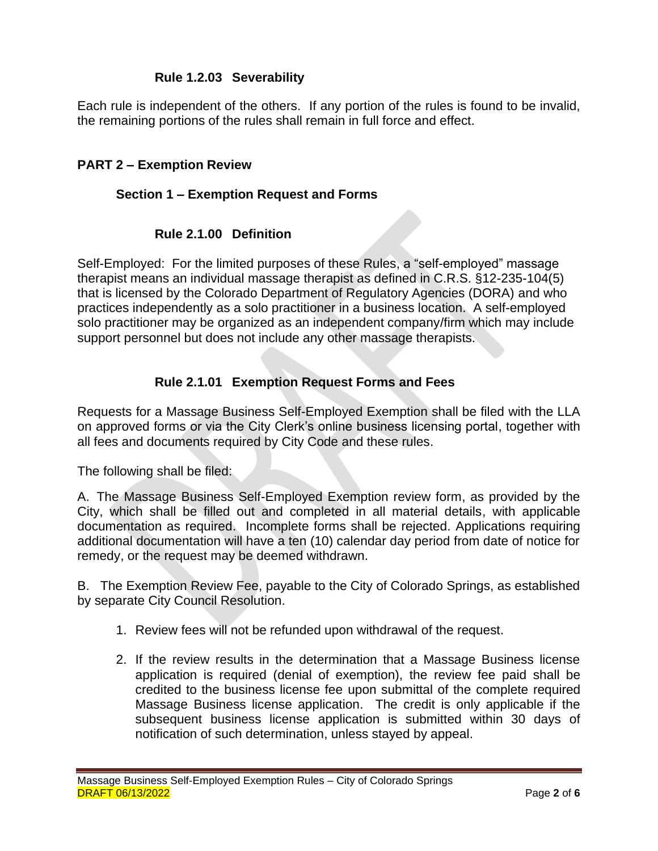### **Rule 1.2.03 Severability**

Each rule is independent of the others. If any portion of the rules is found to be invalid, the remaining portions of the rules shall remain in full force and effect.

#### **PART 2 – Exemption Review**

#### **Section 1 – Exemption Request and Forms**

#### **Rule 2.1.00 Definition**

Self-Employed: For the limited purposes of these Rules, a "self-employed" massage therapist means an individual massage therapist as defined in C.R.S. §12-235-104(5) that is licensed by the Colorado Department of Regulatory Agencies (DORA) and who practices independently as a solo practitioner in a business location. A self-employed solo practitioner may be organized as an independent company/firm which may include support personnel but does not include any other massage therapists.

#### **Rule 2.1.01 Exemption Request Forms and Fees**

Requests for a Massage Business Self-Employed Exemption shall be filed with the LLA on approved forms or via the City Clerk's online business licensing portal, together with all fees and documents required by City Code and these rules.

The following shall be filed:

A. The Massage Business Self-Employed Exemption review form, as provided by the City, which shall be filled out and completed in all material details, with applicable documentation as required. Incomplete forms shall be rejected. Applications requiring additional documentation will have a ten (10) calendar day period from date of notice for remedy, or the request may be deemed withdrawn.

B. The Exemption Review Fee, payable to the City of Colorado Springs, as established by separate City Council Resolution.

- 1. Review fees will not be refunded upon withdrawal of the request.
- 2. If the review results in the determination that a Massage Business license application is required (denial of exemption), the review fee paid shall be credited to the business license fee upon submittal of the complete required Massage Business license application. The credit is only applicable if the subsequent business license application is submitted within 30 days of notification of such determination, unless stayed by appeal.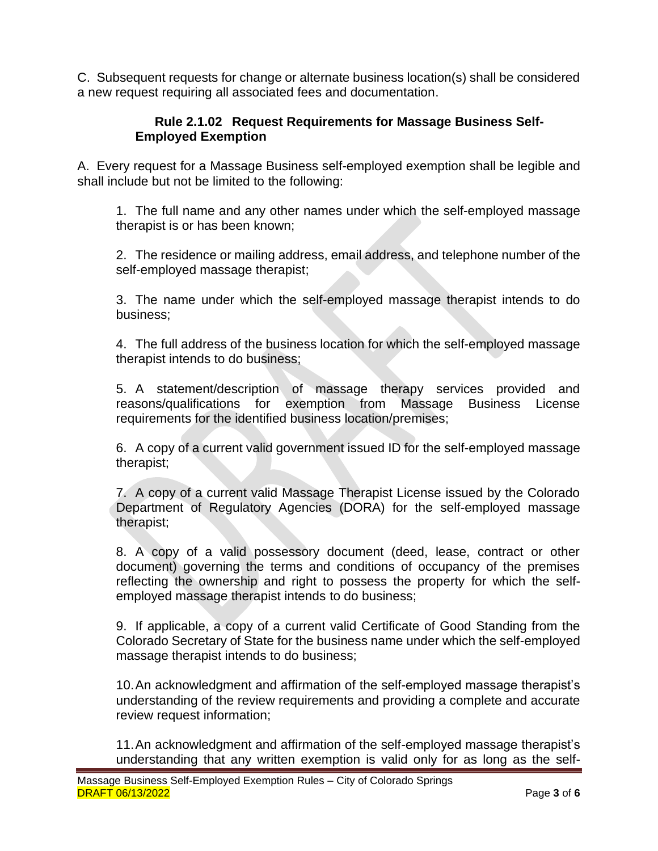C. Subsequent requests for change or alternate business location(s) shall be considered a new request requiring all associated fees and documentation.

### **Rule 2.1.02 Request Requirements for Massage Business Self-Employed Exemption**

A. Every request for a Massage Business self-employed exemption shall be legible and shall include but not be limited to the following:

1. The full name and any other names under which the self-employed massage therapist is or has been known;

2. The residence or mailing address, email address, and telephone number of the self-employed massage therapist;

3. The name under which the self-employed massage therapist intends to do business;

4. The full address of the business location for which the self-employed massage therapist intends to do business;

5. A statement/description of massage therapy services provided and reasons/qualifications for exemption from Massage Business License requirements for the identified business location/premises;

6. A copy of a current valid government issued ID for the self-employed massage therapist;

7. A copy of a current valid Massage Therapist License issued by the Colorado Department of Regulatory Agencies (DORA) for the self-employed massage therapist;

8. A copy of a valid possessory document (deed, lease, contract or other document) governing the terms and conditions of occupancy of the premises reflecting the ownership and right to possess the property for which the selfemployed massage therapist intends to do business;

9. If applicable, a copy of a current valid Certificate of Good Standing from the Colorado Secretary of State for the business name under which the self-employed massage therapist intends to do business;

10.An acknowledgment and affirmation of the self-employed massage therapist's understanding of the review requirements and providing a complete and accurate review request information;

11.An acknowledgment and affirmation of the self-employed massage therapist's understanding that any written exemption is valid only for as long as the self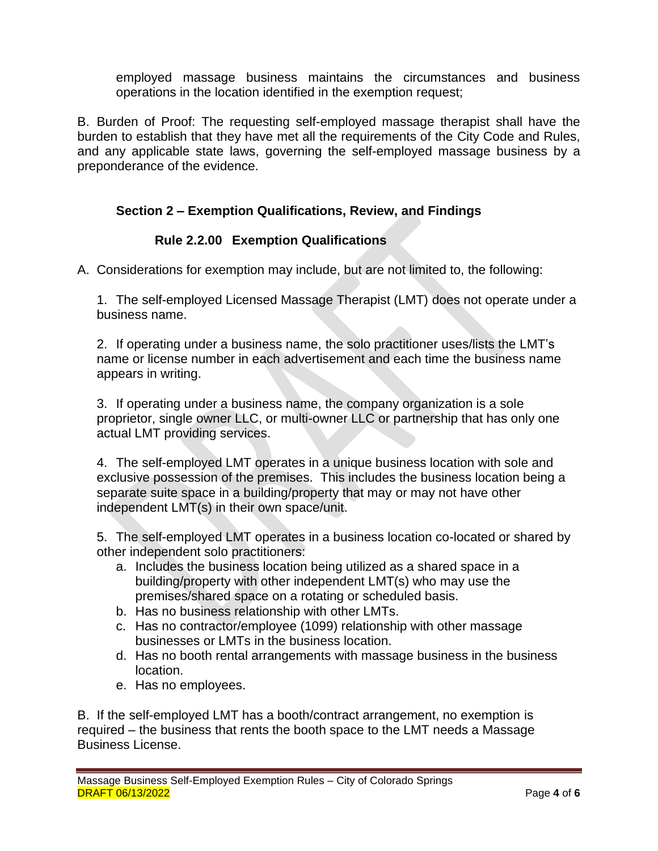employed massage business maintains the circumstances and business operations in the location identified in the exemption request;

B. Burden of Proof: The requesting self-employed massage therapist shall have the burden to establish that they have met all the requirements of the City Code and Rules, and any applicable state laws, governing the self-employed massage business by a preponderance of the evidence.

### **Section 2 – Exemption Qualifications, Review, and Findings**

### **Rule 2.2.00 Exemption Qualifications**

A. Considerations for exemption may include, but are not limited to, the following:

1. The self-employed Licensed Massage Therapist (LMT) does not operate under a business name.

2. If operating under a business name, the solo practitioner uses/lists the LMT's name or license number in each advertisement and each time the business name appears in writing.

3. If operating under a business name, the company organization is a sole proprietor, single owner LLC, or multi-owner LLC or partnership that has only one actual LMT providing services.

4. The self-employed LMT operates in a unique business location with sole and exclusive possession of the premises. This includes the business location being a separate suite space in a building/property that may or may not have other independent LMT(s) in their own space/unit.

5. The self-employed LMT operates in a business location co-located or shared by other independent solo practitioners:

- a. Includes the business location being utilized as a shared space in a building/property with other independent LMT(s) who may use the premises/shared space on a rotating or scheduled basis.
- b. Has no business relationship with other LMTs.
- c. Has no contractor/employee (1099) relationship with other massage businesses or LMTs in the business location.
- d. Has no booth rental arrangements with massage business in the business location.
- e. Has no employees.

B. If the self-employed LMT has a booth/contract arrangement, no exemption is required – the business that rents the booth space to the LMT needs a Massage Business License.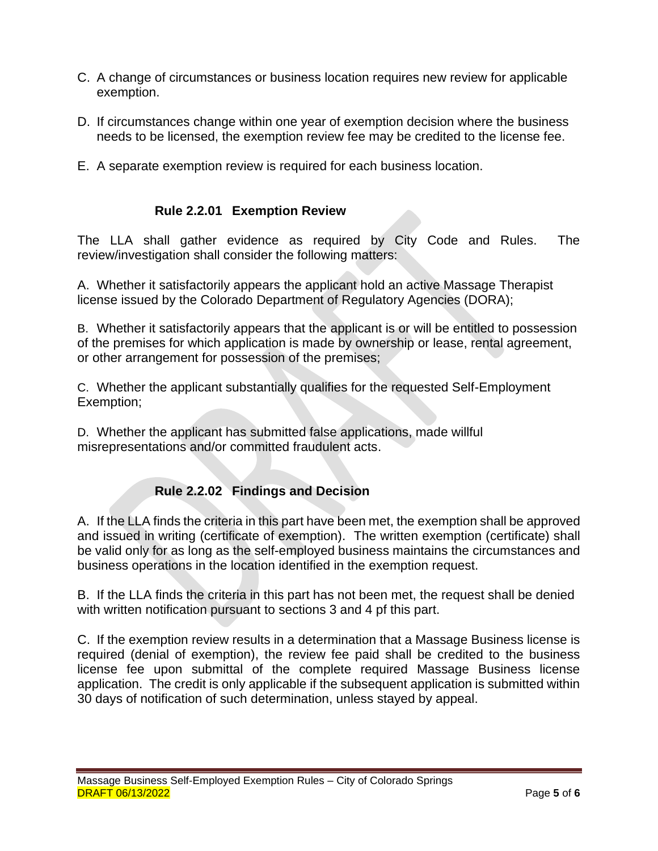- C. A change of circumstances or business location requires new review for applicable exemption.
- D. If circumstances change within one year of exemption decision where the business needs to be licensed, the exemption review fee may be credited to the license fee.
- E. A separate exemption review is required for each business location.

### **Rule 2.2.01 Exemption Review**

The LLA shall gather evidence as required by City Code and Rules. The review/investigation shall consider the following matters:

A. Whether it satisfactorily appears the applicant hold an active Massage Therapist license issued by the Colorado Department of Regulatory Agencies (DORA);

B. Whether it satisfactorily appears that the applicant is or will be entitled to possession of the premises for which application is made by ownership or lease, rental agreement, or other arrangement for possession of the premises;

C. Whether the applicant substantially qualifies for the requested Self-Employment Exemption;

D. Whether the applicant has submitted false applications, made willful misrepresentations and/or committed fraudulent acts.

### **Rule 2.2.02 Findings and Decision**

A. If the LLA finds the criteria in this part have been met, the exemption shall be approved and issued in writing (certificate of exemption). The written exemption (certificate) shall be valid only for as long as the self-employed business maintains the circumstances and business operations in the location identified in the exemption request.

B. If the LLA finds the criteria in this part has not been met, the request shall be denied with written notification pursuant to sections 3 and 4 pf this part.

C. If the exemption review results in a determination that a Massage Business license is required (denial of exemption), the review fee paid shall be credited to the business license fee upon submittal of the complete required Massage Business license application. The credit is only applicable if the subsequent application is submitted within 30 days of notification of such determination, unless stayed by appeal.